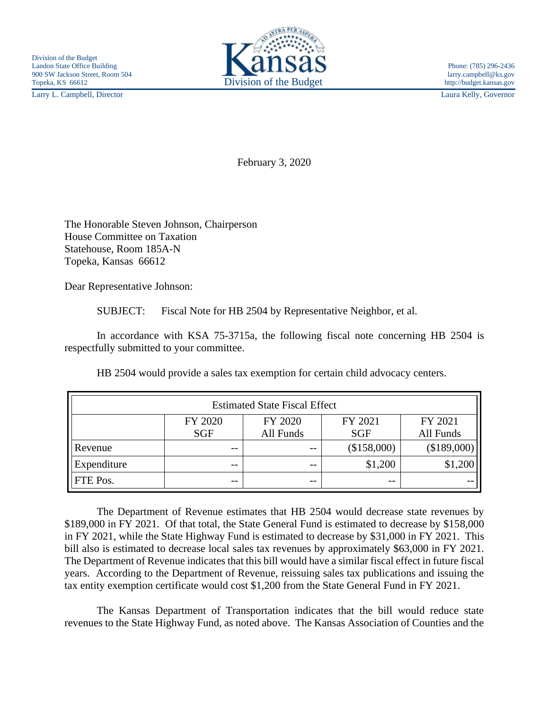Larry L. Campbell, Director Laura Kelly, Governor



February 3, 2020

The Honorable Steven Johnson, Chairperson House Committee on Taxation Statehouse, Room 185A-N Topeka, Kansas 66612

Dear Representative Johnson:

SUBJECT: Fiscal Note for HB 2504 by Representative Neighbor, et al.

In accordance with KSA 75-3715a, the following fiscal note concerning HB 2504 is respectfully submitted to your committee.

HB 2504 would provide a sales tax exemption for certain child advocacy centers.

| <b>Estimated State Fiscal Effect</b> |                       |                      |                       |                      |
|--------------------------------------|-----------------------|----------------------|-----------------------|----------------------|
|                                      | FY 2020<br><b>SGF</b> | FY 2020<br>All Funds | FY 2021<br><b>SGF</b> | FY 2021<br>All Funds |
| Revenue                              | --                    | $- -$                | (\$158,000)           | (\$189,000)          |
| Expenditure                          | $- -$                 | $ -$                 | \$1,200               | \$1,200              |
| FTE Pos.                             | $- -$                 | $- -$                | $ -$                  |                      |

The Department of Revenue estimates that HB 2504 would decrease state revenues by \$189,000 in FY 2021. Of that total, the State General Fund is estimated to decrease by \$158,000 in FY 2021, while the State Highway Fund is estimated to decrease by \$31,000 in FY 2021. This bill also is estimated to decrease local sales tax revenues by approximately \$63,000 in FY 2021. The Department of Revenue indicates that this bill would have a similar fiscal effect in future fiscal years. According to the Department of Revenue, reissuing sales tax publications and issuing the tax entity exemption certificate would cost \$1,200 from the State General Fund in FY 2021.

The Kansas Department of Transportation indicates that the bill would reduce state revenues to the State Highway Fund, as noted above. The Kansas Association of Counties and the